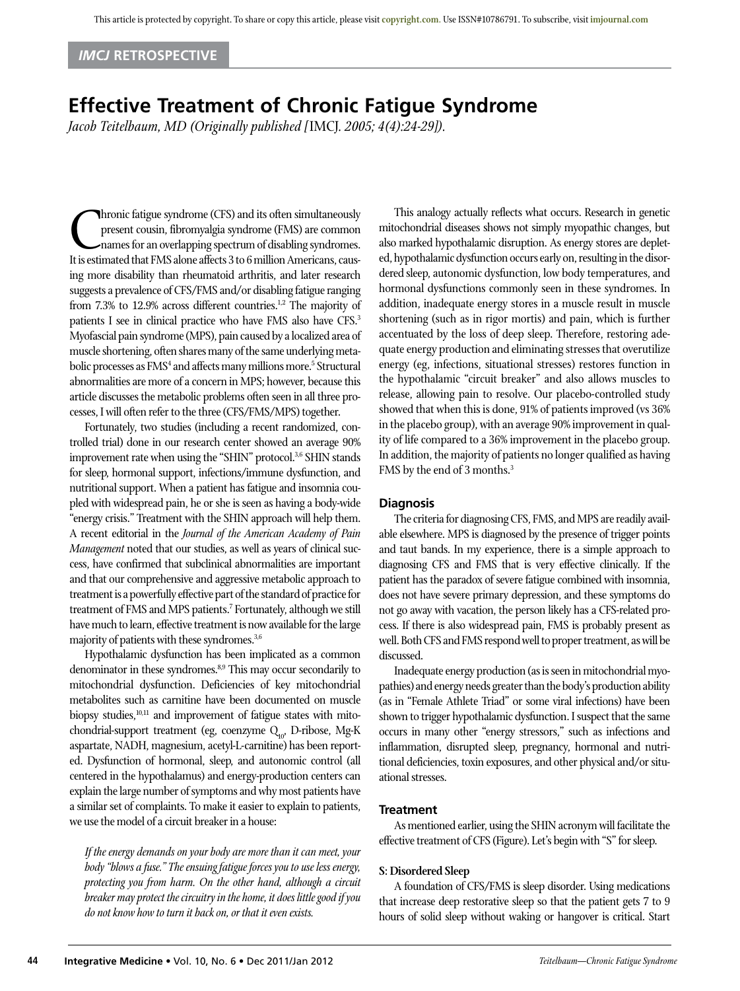# *IMCJ* **Retrospective**

# **Effective Treatment of Chronic Fatigue Syndrome**

*Jacob Teitelbaum, MD (Originally published [*IMCJ*. 2005; 4(4):24-29]).*

**Chronic fatigue syndrome (CFS) and its often simultaneously**<br>present cousin, fibromyalgia syndrome (FMS) are common<br>names for an overlapping spectrum of disabling syndromes.<br>It is estimated that FMS alone affects 3 to 6 m present cousin, fibromyalgia syndrome (FMS) are common names for an overlapping spectrum of disabling syndromes. It is estimated that FMS alone affects 3 to 6 million Americans, causing more disability than rheumatoid arthritis, and later research suggests a prevalence of CFS/FMS and/or disabling fatigue ranging from 7.3% to 12.9% across different countries.<sup>1,2</sup> The majority of patients I see in clinical practice who have FMS also have CFS.<sup>3</sup> Myofascial pain syndrome (MPS), pain caused by a localized area of muscle shortening, often shares many of the same underlying metabolic processes as FMS<sup>4</sup> and affects many millions more.<sup>5</sup> Structural abnormalities are more of a concern in MPS; however, because this article discusses the metabolic problems often seen in all three processes, I will often refer to the three (CFS/FMS/MPS) together.

Fortunately, two studies (including a recent randomized, controlled trial) done in our research center showed an average 90% improvement rate when using the "SHIN" protocol.<sup>3,6</sup> SHIN stands for sleep, hormonal support, infections/immune dysfunction, and nutritional support. When a patient has fatigue and insomnia coupled with widespread pain, he or she is seen as having a body-wide "energy crisis." Treatment with the SHIN approach will help them. A recent editorial in the *Journal of the American Academy of Pain Management* noted that our studies, as well as years of clinical success, have confirmed that subclinical abnormalities are important and that our comprehensive and aggressive metabolic approach to treatment is a powerfully effective part of the standard of practice for treatment of FMS and MPS patients.7 Fortunately, although we still have much to learn, effective treatment is now available for the large majority of patients with these syndromes.<sup>3,6</sup>

Hypothalamic dysfunction has been implicated as a common denominator in these syndromes.<sup>8,9</sup> This may occur secondarily to mitochondrial dysfunction. Deficiencies of key mitochondrial metabolites such as carnitine have been documented on muscle biopsy studies, $10,11$  and improvement of fatigue states with mitochondrial-support treatment (eg, coenzyme Q<sub>10</sub>, D-ribose, Mg-K aspartate, NADH, magnesium, acetyl-L-carnitine) has been reported. Dysfunction of hormonal, sleep, and autonomic control (all centered in the hypothalamus) and energy-production centers can explain the large number of symptoms and why most patients have a similar set of complaints. To make it easier to explain to patients, we use the model of a circuit breaker in a house:

*If the energy demands on your body are more than it can meet, your body "blows a fuse." The ensuing fatigue forces you to use less energy, protecting you from harm. On the other hand, although a circuit breaker may protect the circuitry in the home, it does little good if you do not know how to turn it back on, or that it even exists.*

This analogy actually reflects what occurs. Research in genetic mitochondrial diseases shows not simply myopathic changes, but also marked hypothalamic disruption. As energy stores are depleted, hypothalamic dysfunction occurs early on, resulting in the disordered sleep, autonomic dysfunction, low body temperatures, and hormonal dysfunctions commonly seen in these syndromes. In addition, inadequate energy stores in a muscle result in muscle shortening (such as in rigor mortis) and pain, which is further accentuated by the loss of deep sleep. Therefore, restoring adequate energy production and eliminating stresses that overutilize energy (eg, infections, situational stresses) restores function in the hypothalamic "circuit breaker" and also allows muscles to release, allowing pain to resolve. Our placebo-controlled study showed that when this is done, 91% of patients improved (vs 36% in the placebo group), with an average 90% improvement in quality of life compared to a 36% improvement in the placebo group. In addition, the majority of patients no longer qualified as having FMS by the end of 3 months.3

# **Diagnosis**

The criteria for diagnosing CFS, FMS, and MPS are readily available elsewhere. MPS is diagnosed by the presence of trigger points and taut bands. In my experience, there is a simple approach to diagnosing CFS and FMS that is very effective clinically. If the patient has the paradox of severe fatigue combined with insomnia, does not have severe primary depression, and these symptoms do not go away with vacation, the person likely has a CFS-related process. If there is also widespread pain, FMS is probably present as well. Both CFS and FMS respond well to proper treatment, as will be discussed.

Inadequate energy production (as is seen in mitochondrial myopathies) and energy needs greater than the body's production ability (as in "Female Athlete Triad" or some viral infections) have been shown to trigger hypothalamic dysfunction. I suspect that the same occurs in many other "energy stressors," such as infections and inflammation, disrupted sleep, pregnancy, hormonal and nutritional deficiencies, toxin exposures, and other physical and/or situational stresses.

#### **Treatment**

As mentioned earlier, using the SHIN acronym will facilitate the effective treatment of CFS (Figure). Let's begin with "S" for sleep.

#### **S: Disordered Sleep**

A foundation of CFS/FMS is sleep disorder. Using medications that increase deep restorative sleep so that the patient gets 7 to 9 hours of solid sleep without waking or hangover is critical. Start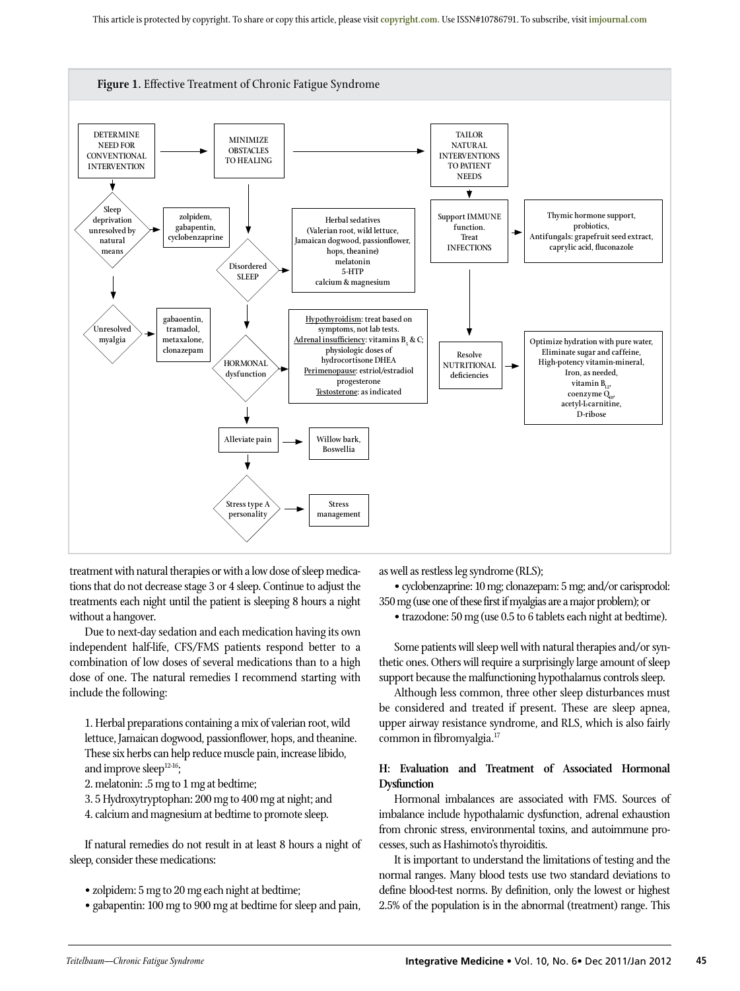

treatment with natural therapies or with a low dose of sleep medications that do not decrease stage 3 or 4 sleep. Continue to adjust the treatments each night until the patient is sleeping 8 hours a night without a hangover.

Due to next-day sedation and each medication having its own independent half-life, CFS/FMS patients respond better to a combination of low doses of several medications than to a high dose of one. The natural remedies I recommend starting with include the following:

1. Herbal preparations containing a mix of valerian root, wild lettuce, Jamaican dogwood, passionflower, hops, and theanine. These six herbs can help reduce muscle pain, increase libido, and improve sleep<sup>12-16</sup>;

2. melatonin: .5 mg to 1 mg at bedtime;

3. 5 Hydroxytryptophan: 200 mg to 400 mg at night; and

4. calcium and magnesium at bedtime to promote sleep.

If natural remedies do not result in at least 8 hours a night of sleep, consider these medications:

• zolpidem: 5 mg to 20 mg each night at bedtime;

• gabapentin: 100 mg to 900 mg at bedtime for sleep and pain,

as well as restless leg syndrome (RLS);

• cyclobenzaprine: 10 mg; clonazepam: 5 mg; and/or carisprodol: 350 mg (use one of these first if myalgias are a major problem); or

• trazodone: 50 mg (use 0.5 to 6 tablets each night at bedtime).

Some patients will sleep well with natural therapies and/or synthetic ones. Others will require a surprisingly large amount of sleep support because the malfunctioning hypothalamus controls sleep.

Although less common, three other sleep disturbances must be considered and treated if present. These are sleep apnea, upper airway resistance syndrome, and RLS, which is also fairly common in fibromyalgia.17

# **H: Evaluation and Treatment of Associated Hormonal Dysfunction**

Hormonal imbalances are associated with FMS. Sources of imbalance include hypothalamic dysfunction, adrenal exhaustion from chronic stress, environmental toxins, and autoimmune processes, such as Hashimoto's thyroiditis.

It is important to understand the limitations of testing and the normal ranges. Many blood tests use two standard deviations to define blood-test norms. By definition, only the lowest or highest 2.5% of the population is in the abnormal (treatment) range. This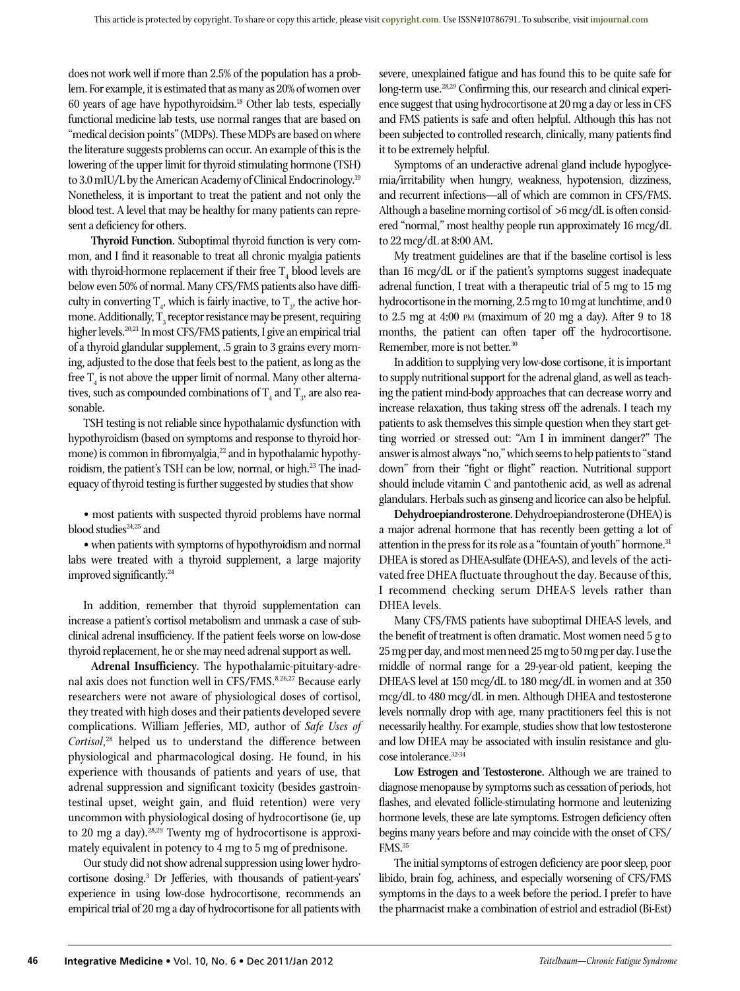does not work well if more than 2.5% of the population has a problem. For example, it is estimated that as many as 20% of women over 60 years of age have hypothyroidsim.18 Other lab tests, especially functional medicine lab tests, use normal ranges that are based on "medical decision points" (MDPs). These MDPs are based on where the literature suggests problems can occur. An example of this is the lowering of the upper limit for thyroid stimulating hormone (TSH) to 3.0 mIU/L by the American Academy of Clinical Endocrinology.<sup>19</sup> Nonetheless, it is important to treat the patient and not only the blood test. A level that may be healthy for many patients can represent a deficiency for others.

**Thyroid Function.** Suboptimal thyroid function is very common, and I find it reasonable to treat all chronic myalgia patients with thyroid-hormone replacement if their free  $\mathrm{T}_4$  blood levels are below even 50% of normal. Many CFS/FMS patients also have difficulty in converting  $T_{4}$ , which is fairly inactive, to  $T_{3}$ , the active hormone. Additionally,  $\mathrm{T}_3$  receptor resistance may be present, requiring higher levels.20,21 In most CFS/FMS patients, I give an empirical trial of a thyroid glandular supplement, .5 grain to 3 grains every morning, adjusted to the dose that feels best to the patient, as long as the free  $T_4$  is not above the upper limit of normal. Many other alternatives, such as compounded combinations of  $\mathrm{T}_4$  and  $\mathrm{T}_3$ , are also reasonable.

TSH testing is not reliable since hypothalamic dysfunction with hypothyroidism (based on symptoms and response to thyroid hormone) is common in fibromyalgia,<sup>22</sup> and in hypothalamic hypothyroidism, the patient's TSH can be low, normal, or high.<sup>23</sup> The inadequacy of thyroid testing is further suggested by studies that show

• most patients with suspected thyroid problems have normal blood studies<sup>24,25</sup> and

• when patients with symptoms of hypothyroidism and normal labs were treated with a thyroid supplement, a large majority improved significantly.24

In addition, remember that thyroid supplementation can increase a patient's cortisol metabolism and unmask a case of subclinical adrenal insufficiency. If the patient feels worse on low-dose thyroid replacement, he or she may need adrenal support as well.

**Adrenal Insufficiency.** The hypothalamic-pituitary-adrenal axis does not function well in CFS/FMS.8,26,27 Because early researchers were not aware of physiological doses of cortisol, they treated with high doses and their patients developed severe complications. William Jefferies, MD, author of *Safe Uses of Cortisol*, 28 helped us to understand the difference between physiological and pharmacological dosing. He found, in his experience with thousands of patients and years of use, that adrenal suppression and significant toxicity (besides gastrointestinal upset, weight gain, and fluid retention) were very uncommon with physiological dosing of hydrocortisone (ie, up to 20 mg a day).28,29 Twenty mg of hydrocortisone is approximately equivalent in potency to 4 mg to 5 mg of prednisone.

Our study did not show adrenal suppression using lower hydrocortisone dosing.3 Dr Jefferies, with thousands of patient-years' experience in using low-dose hydrocortisone, recommends an empirical trial of 20 mg a day of hydrocortisone for all patients with

severe, unexplained fatigue and has found this to be quite safe for long-term use.<sup>28,29</sup> Confirming this, our research and clinical experience suggest that using hydrocortisone at 20 mg a day or less in CFS and FMS patients is safe and often helpful. Although this has not been subjected to controlled research, clinically, many patients find it to be extremely helpful.

Symptoms of an underactive adrenal gland include hypoglycemia/irritability when hungry, weakness, hypotension, dizziness, and recurrent infections—all of which are common in CFS/FMS. Although a baseline morning cortisol of  $>6$  mcg/dL is often considered "normal," most healthy people run approximately 16 mcg/dL to 22 mcg/dL at 8:00 AM.

My treatment guidelines are that if the baseline cortisol is less than 16 mcg/dL or if the patient's symptoms suggest inadequate adrenal function, I treat with a therapeutic trial of 5 mg to 15 mg hydrocortisone in the morning, 2.5 mg to 10 mg at lunchtime, and 0 to 2.5 mg at 4:00 PM (maximum of 20 mg a day). After 9 to 18 months, the patient can often taper off the hydrocortisone. Remember, more is not better.30

In addition to supplying very low-dose cortisone, it is important to supply nutritional support for the adrenal gland, as well as teaching the patient mind-body approaches that can decrease worry and increase relaxation, thus taking stress off the adrenals. I teach my patients to ask themselves this simple question when they start getting worried or stressed out: "Am I in imminent danger?" The answer is almost always "no," which seems to help patients to "stand down" from their "fight or flight" reaction. Nutritional support should include vitamin C and pantothenic acid, as well as adrenal glandulars. Herbals such as ginseng and licorice can also be helpful.

**Dehydroepiandrosterone.** Dehydroepiandrosterone (DHEA) is a major adrenal hormone that has recently been getting a lot of attention in the press for its role as a "fountain of youth" hormone.<sup>31</sup> DHEA is stored as DHEA-sulfate (DHEA-S), and levels of the activated free DHEA fluctuate throughout the day. Because of this, I recommend checking serum DHEA-S levels rather than DHEA levels.

Many CFS/FMS patients have suboptimal DHEA-S levels, and the benefit of treatment is often dramatic. Most women need 5 g to 25 mg per day, and most men need 25 mg to 50 mg per day. I use the middle of normal range for a 29-year-old patient, keeping the DHEA-S level at 150 mcg/dL to 180 mcg/dL in women and at 350 mcg/dL to 480 mcg/dL in men. Although DHEA and testosterone levels normally drop with age, many practitioners feel this is not necessarily healthy. For example, studies show that low testosterone and low DHEA may be associated with insulin resistance and glucose intolerance.32-34

**Low Estrogen and Testosterone.** Although we are trained to diagnose menopause by symptoms such as cessation of periods, hot flashes, and elevated follicle-stimulating hormone and leutenizing hormone levels, these are late symptoms. Estrogen deficiency often begins many years before and may coincide with the onset of CFS/ FMS.35

The initial symptoms of estrogen deficiency are poor sleep, poor libido, brain fog, achiness, and especially worsening of CFS/FMS symptoms in the days to a week before the period. I prefer to have the pharmacist make a combination of estriol and estradiol (Bi-Est)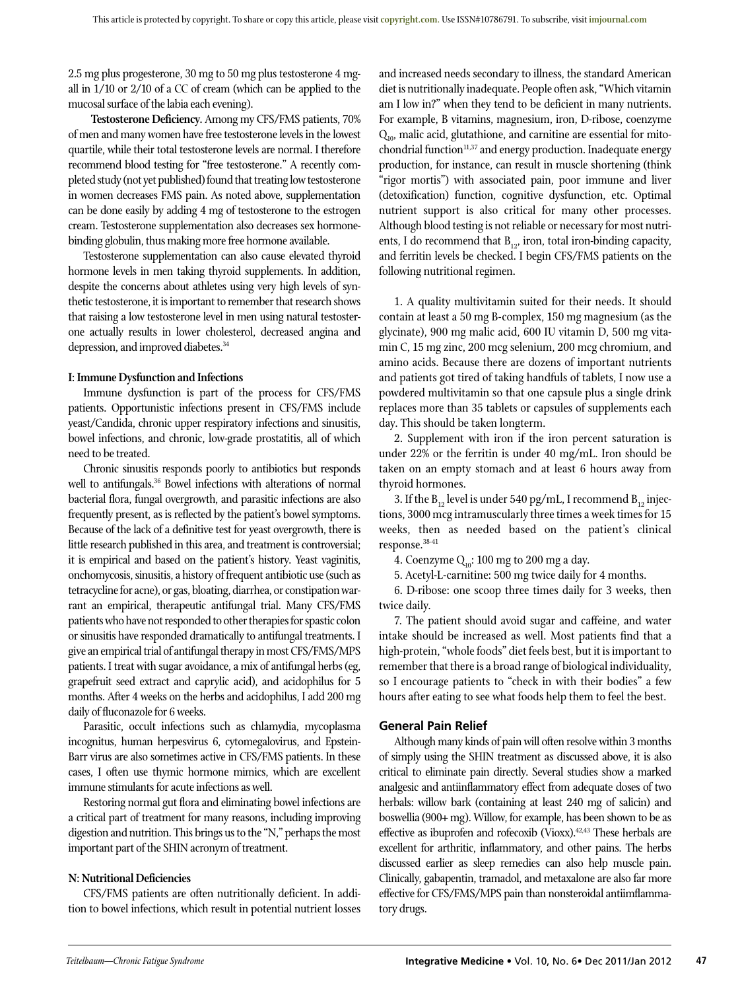2.5 mg plus progesterone, 30 mg to 50 mg plus testosterone 4 mgall in 1/10 or 2/10 of a CC of cream (which can be applied to the mucosal surface of the labia each evening).

**Testosterone Deficiency.** Among my CFS/FMS patients, 70% of men and many women have free testosterone levels in the lowest quartile, while their total testosterone levels are normal. I therefore recommend blood testing for "free testosterone." A recently completed study (not yet published) found that treating low testosterone in women decreases FMS pain. As noted above, supplementation can be done easily by adding 4 mg of testosterone to the estrogen cream. Testosterone supplementation also decreases sex hormonebinding globulin, thus making more free hormone available.

Testosterone supplementation can also cause elevated thyroid hormone levels in men taking thyroid supplements. In addition, despite the concerns about athletes using very high levels of synthetic testosterone, it is important to remember that research shows that raising a low testosterone level in men using natural testosterone actually results in lower cholesterol, decreased angina and depression, and improved diabetes.<sup>34</sup>

# **I: Immune Dysfunction and Infections**

Immune dysfunction is part of the process for CFS/FMS patients. Opportunistic infections present in CFS/FMS include yeast/Candida, chronic upper respiratory infections and sinusitis, bowel infections, and chronic, low-grade prostatitis, all of which need to be treated.

Chronic sinusitis responds poorly to antibiotics but responds well to antifungals.<sup>36</sup> Bowel infections with alterations of normal bacterial flora, fungal overgrowth, and parasitic infections are also frequently present, as is reflected by the patient's bowel symptoms. Because of the lack of a definitive test for yeast overgrowth, there is little research published in this area, and treatment is controversial; it is empirical and based on the patient's history. Yeast vaginitis, onchomycosis, sinusitis, a history of frequent antibiotic use (such as tetracycline for acne), or gas, bloating, diarrhea, or constipation warrant an empirical, therapeutic antifungal trial. Many CFS/FMS patients who have not responded to other therapies for spastic colon or sinusitis have responded dramatically to antifungal treatments. I give an empirical trial of antifungal therapy in most CFS/FMS/MPS patients. I treat with sugar avoidance, a mix of antifungal herbs (eg, grapefruit seed extract and caprylic acid), and acidophilus for 5 months. After 4 weeks on the herbs and acidophilus, I add 200 mg daily of fluconazole for 6 weeks.

Parasitic, occult infections such as chlamydia, mycoplasma incognitus, human herpesvirus 6, cytomegalovirus, and Epstein-Barr virus are also sometimes active in CFS/FMS patients. In these cases, I often use thymic hormone mimics, which are excellent immune stimulants for acute infections as well.

Restoring normal gut flora and eliminating bowel infections are a critical part of treatment for many reasons, including improving digestion and nutrition. This brings us to the "N," perhaps the most important part of the SHIN acronym of treatment.

# **N: Nutritional Deficiencies**

CFS/FMS patients are often nutritionally deficient. In addition to bowel infections, which result in potential nutrient losses and increased needs secondary to illness, the standard American diet is nutritionally inadequate. People often ask, "Which vitamin am I low in?" when they tend to be deficient in many nutrients. For example, B vitamins, magnesium, iron, D-ribose, coenzyme Q<sub>10</sub>, malic acid, glutathione, and carnitine are essential for mitochondrial function<sup>11,37</sup> and energy production. Inadequate energy production, for instance, can result in muscle shortening (think "rigor mortis") with associated pain, poor immune and liver (detoxification) function, cognitive dysfunction, etc. Optimal nutrient support is also critical for many other processes. Although blood testing is not reliable or necessary for most nutrients, I do recommend that  $B_{12}$ , iron, total iron-binding capacity, and ferritin levels be checked. I begin CFS/FMS patients on the following nutritional regimen.

1. A quality multivitamin suited for their needs. It should contain at least a 50 mg B-complex, 150 mg magnesium (as the glycinate), 900 mg malic acid, 600 IU vitamin D, 500 mg vitamin C, 15 mg zinc, 200 mcg selenium, 200 mcg chromium, and amino acids. Because there are dozens of important nutrients and patients got tired of taking handfuls of tablets, I now use a powdered multivitamin so that one capsule plus a single drink replaces more than 35 tablets or capsules of supplements each day. This should be taken longterm.

2. Supplement with iron if the iron percent saturation is under 22% or the ferritin is under 40 mg/mL. Iron should be taken on an empty stomach and at least 6 hours away from thyroid hormones.

3. If the  $B_{12}$  level is under 540 pg/mL, I recommend  $B_{12}$  injections, 3000 mcg intramuscularly three times a week times for 15 weeks, then as needed based on the patient's clinical response.38-41

4. Coenzyme  $Q_{10}$ : 100 mg to 200 mg a day.

5. Acetyl-L-carnitine: 500 mg twice daily for 4 months.

6. D-ribose: one scoop three times daily for 3 weeks, then twice daily.

7. The patient should avoid sugar and caffeine, and water intake should be increased as well. Most patients find that a high-protein, "whole foods" diet feels best, but it is important to remember that there is a broad range of biological individuality, so I encourage patients to "check in with their bodies" a few hours after eating to see what foods help them to feel the best.

# **General Pain Relief**

Although many kinds of pain will often resolve within 3 months of simply using the SHIN treatment as discussed above, it is also critical to eliminate pain directly. Several studies show a marked analgesic and antiinflammatory effect from adequate doses of two herbals: willow bark (containing at least 240 mg of salicin) and boswellia (900+ mg). Willow, for example, has been shown to be as effective as ibuprofen and rofecoxib (Vioxx).42,43 These herbals are excellent for arthritic, inflammatory, and other pains. The herbs discussed earlier as sleep remedies can also help muscle pain. Clinically, gabapentin, tramadol, and metaxalone are also far more effective for CFS/FMS/MPS pain than nonsteroidal antiimflammatory drugs.